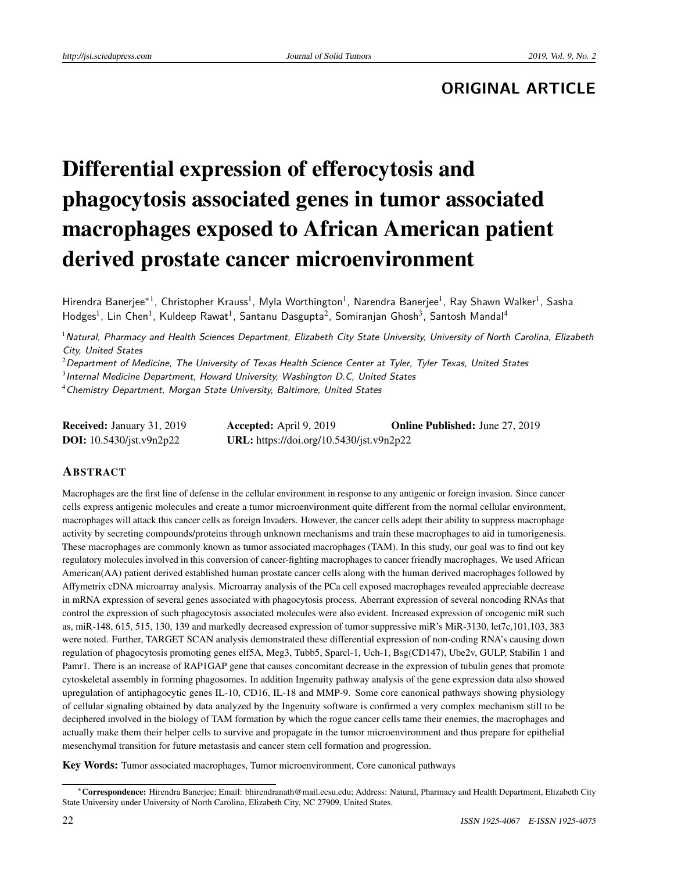# **ORIGINAL ARTICLE**

# Differential expression of efferocytosis and phagocytosis associated genes in tumor associated macrophages exposed to African American patient derived prostate cancer microenvironment

Hirendra Banerjee\*<sup>1</sup>, Christopher Krauss<sup>1</sup>, Myla Worthington<sup>1</sup>, Narendra Banerjee<sup>1</sup>, Ray Shawn Walker<sup>1</sup>, Sasha Hodges<sup>1</sup>, Lin Chen<sup>1</sup>, Kuldeep Rawat<sup>1</sup>, Santanu Dasgupta<sup>2</sup>, Somiranjan Ghosh<sup>3</sup>, Santosh Mandal<sup>4</sup>

 $^1$ Natural, Pharmacy and Health Sciences Department, Elizabeth City State University, University of North Carolina, Elizabeth City, United States

 $^{2}$ Department of Medicine, The University of Texas Health Science Center at Tyler, Tyler Texas, United States

 $^3$ Internal Medicine Department, Howard University, Washington D.C, United States

<sup>4</sup>Chemistry Department, Morgan State University, Baltimore, United States

| <b>Received: January 31, 2019</b> | <b>Accepted:</b> April 9, 2019           | <b>Online Published:</b> June 27, 2019 |
|-----------------------------------|------------------------------------------|----------------------------------------|
| <b>DOI:</b> $10.5430/jst.v9n2p22$ | URL: https://doi.org/10.5430/jst.v9n2p22 |                                        |

# ABSTRACT

Macrophages are the first line of defense in the cellular environment in response to any antigenic or foreign invasion. Since cancer cells express antigenic molecules and create a tumor microenvironment quite different from the normal cellular environment, macrophages will attack this cancer cells as foreign Invaders. However, the cancer cells adept their ability to suppress macrophage activity by secreting compounds/proteins through unknown mechanisms and train these macrophages to aid in tumorigenesis. These macrophages are commonly known as tumor associated macrophages (TAM). In this study, our goal was to find out key regulatory molecules involved in this conversion of cancer-fighting macrophages to cancer friendly macrophages. We used African American(AA) patient derived established human prostate cancer cells along with the human derived macrophages followed by Affymetrix cDNA microarray analysis. Microarray analysis of the PCa cell exposed macrophages revealed appreciable decrease in mRNA expression of several genes associated with phagocytosis process. Aberrant expression of several noncoding RNAs that control the expression of such phagocytosis associated molecules were also evident. Increased expression of oncogenic miR such as, miR-148, 615, 515, 130, 139 and markedly decreased expression of tumor suppressive miR's MiR-3130, let7c,101,103, 383 were noted. Further, TARGET SCAN analysis demonstrated these differential expression of non-coding RNA's causing down regulation of phagocytosis promoting genes elf5A, Meg3, Tubb5, Sparcl-1, Uch-1, Bsg(CD147), Ube2v, GULP, Stabilin 1 and Pamr1. There is an increase of RAP1GAP gene that causes concomitant decrease in the expression of tubulin genes that promote cytoskeletal assembly in forming phagosomes. In addition Ingenuity pathway analysis of the gene expression data also showed upregulation of antiphagocytic genes IL-10, CD16, IL-18 and MMP-9. Some core canonical pathways showing physiology of cellular signaling obtained by data analyzed by the Ingenuity software is confirmed a very complex mechanism still to be deciphered involved in the biology of TAM formation by which the rogue cancer cells tame their enemies, the macrophages and actually make them their helper cells to survive and propagate in the tumor microenvironment and thus prepare for epithelial mesenchymal transition for future metastasis and cancer stem cell formation and progression.

Key Words: Tumor associated macrophages, Tumor microenvironment, Core canonical pathways

<sup>∗</sup>Correspondence: Hirendra Banerjee; Email: bhirendranath@mail.ecsu.edu; Address: Natural, Pharmacy and Health Department, Elizabeth City State University under University of North Carolina, Elizabeth City, NC 27909, United States.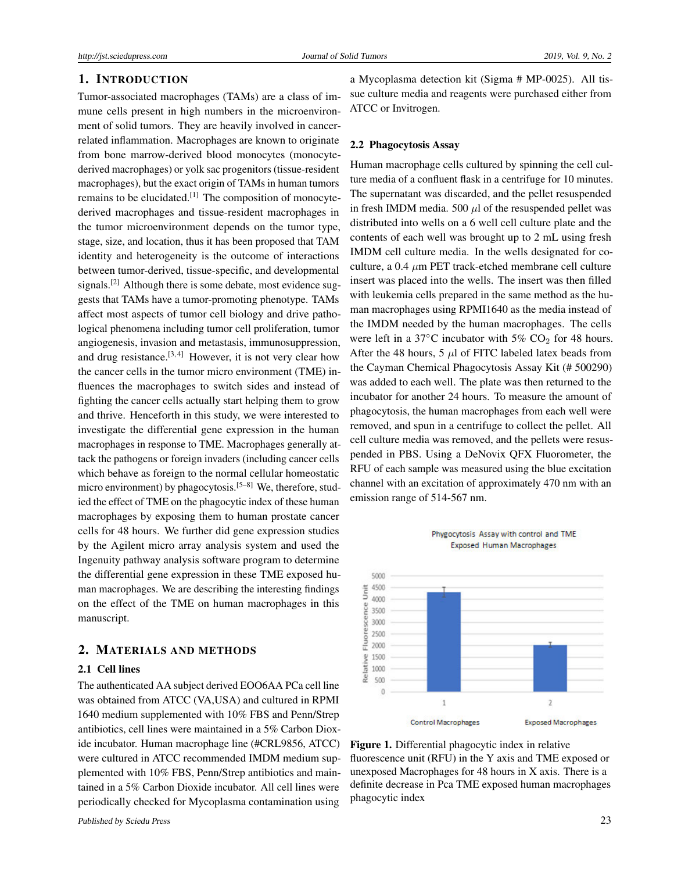# 1. INTRODUCTION

Tumor-associated macrophages (TAMs) are a class of immune cells present in high numbers in the microenvironment of solid tumors. They are heavily involved in cancerrelated inflammation. Macrophages are known to originate from bone marrow-derived blood monocytes (monocytederived macrophages) or yolk sac progenitors (tissue-resident macrophages), but the exact origin of TAMs in human tumors remains to be elucidated.[\[1\]](#page-4-0) The composition of monocytederived macrophages and tissue-resident macrophages in the tumor microenvironment depends on the tumor type, stage, size, and location, thus it has been proposed that TAM identity and heterogeneity is the outcome of interactions between tumor-derived, tissue-specific, and developmental signals.<sup>[\[2\]](#page-4-1)</sup> Although there is some debate, most evidence suggests that TAMs have a tumor-promoting phenotype. TAMs affect most aspects of tumor cell biology and drive pathological phenomena including tumor cell proliferation, tumor angiogenesis, invasion and metastasis, immunosuppression, and drug resistance.<sup>[\[3,](#page-4-2)[4\]](#page-5-0)</sup> However, it is not very clear how the cancer cells in the tumor micro environment (TME) influences the macrophages to switch sides and instead of fighting the cancer cells actually start helping them to grow and thrive. Henceforth in this study, we were interested to investigate the differential gene expression in the human macrophages in response to TME. Macrophages generally attack the pathogens or foreign invaders (including cancer cells which behave as foreign to the normal cellular homeostatic micro environment) by phagocytosis.<sup>[\[5–](#page-5-1)[8\]](#page-5-2)</sup> We, therefore, studied the effect of TME on the phagocytic index of these human macrophages by exposing them to human prostate cancer cells for 48 hours. We further did gene expression studies by the Agilent micro array analysis system and used the Ingenuity pathway analysis software program to determine the differential gene expression in these TME exposed human macrophages. We are describing the interesting findings on the effect of the TME on human macrophages in this manuscript.

#### 2. MATERIALS AND METHODS

#### 2.1 Cell lines

The authenticated AA subject derived EOO6AA PCa cell line was obtained from ATCC (VA,USA) and cultured in RPMI 1640 medium supplemented with 10% FBS and Penn/Strep antibiotics, cell lines were maintained in a 5% Carbon Dioxide incubator. Human macrophage line (#CRL9856, ATCC) were cultured in ATCC recommended IMDM medium supplemented with 10% FBS, Penn/Strep antibiotics and maintained in a 5% Carbon Dioxide incubator. All cell lines were periodically checked for Mycoplasma contamination using

a Mycoplasma detection kit (Sigma # MP-0025). All tissue culture media and reagents were purchased either from ATCC or Invitrogen.

# 2.2 Phagocytosis Assay

Human macrophage cells cultured by spinning the cell culture media of a confluent flask in a centrifuge for 10 minutes. The supernatant was discarded, and the pellet resuspended in fresh IMDM media. 500  $\mu$ l of the resuspended pellet was distributed into wells on a 6 well cell culture plate and the contents of each well was brought up to 2 mL using fresh IMDM cell culture media. In the wells designated for coculture, a 0.4 *µ*m PET track-etched membrane cell culture insert was placed into the wells. The insert was then filled with leukemia cells prepared in the same method as the human macrophages using RPMI1640 as the media instead of the IMDM needed by the human macrophages. The cells were left in a 37 $\mathrm{^{\circ}C}$  incubator with 5% CO<sub>2</sub> for 48 hours. After the 48 hours,  $5 \mu l$  of FITC labeled latex beads from the Cayman Chemical Phagocytosis Assay Kit (# 500290) was added to each well. The plate was then returned to the incubator for another 24 hours. To measure the amount of phagocytosis, the human macrophages from each well were removed, and spun in a centrifuge to collect the pellet. All cell culture media was removed, and the pellets were resuspended in PBS. Using a DeNovix QFX Fluorometer, the RFU of each sample was measured using the blue excitation channel with an excitation of approximately 470 nm with an emission range of 514-567 nm.



Phygocytosis Assay with control and TME **Exposed Human Macrophages** 

Figure 1. Differential phagocytic index in relative fluorescence unit (RFU) in the Y axis and TME exposed or unexposed Macrophages for 48 hours in X axis. There is a definite decrease in Pca TME exposed human macrophages phagocytic index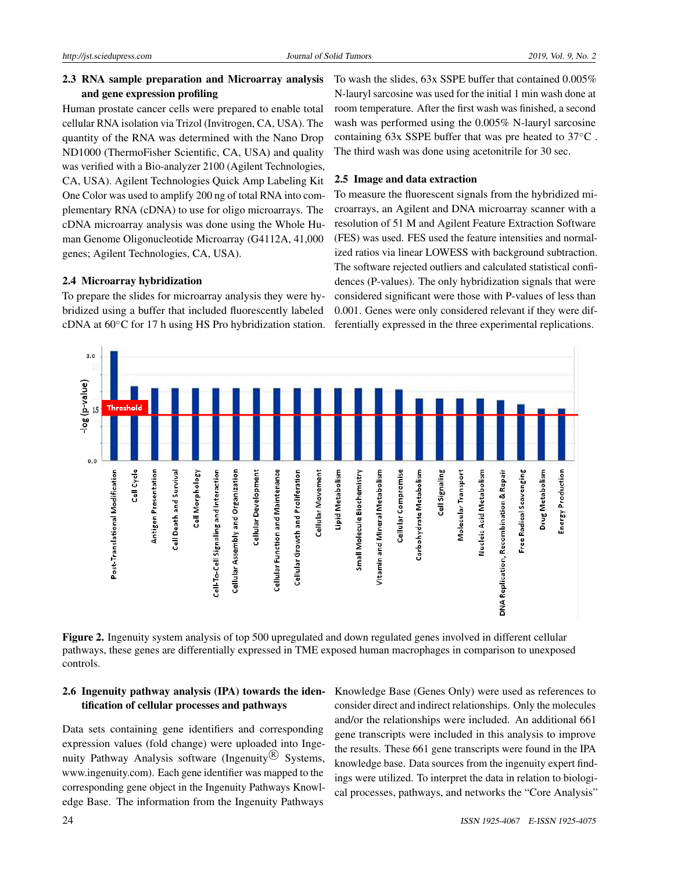# 2.3 RNA sample preparation and Microarray analysis and gene expression profiling

Human prostate cancer cells were prepared to enable total cellular RNA isolation via Trizol (Invitrogen, CA, USA). The quantity of the RNA was determined with the Nano Drop ND1000 (ThermoFisher Scientific, CA, USA) and quality was verified with a Bio-analyzer 2100 (Agilent Technologies, CA, USA). Agilent Technologies Quick Amp Labeling Kit One Color was used to amplify 200 ng of total RNA into complementary RNA (cDNA) to use for oligo microarrays. The cDNA microarray analysis was done using the Whole Human Genome Oligonucleotide Microarray (G4112A, 41,000 genes; Agilent Technologies, CA, USA).

#### 2.4 Microarray hybridization

To prepare the slides for microarray analysis they were hybridized using a buffer that included fluorescently labeled cDNA at 60◦C for 17 h using HS Pro hybridization station. To wash the slides, 63x SSPE buffer that contained 0.005% N-lauryl sarcosine was used for the initial 1 min wash done at room temperature. After the first wash was finished, a second wash was performed using the 0.005% N-lauryl sarcosine containing 63x SSPE buffer that was pre heated to 37◦C . The third wash was done using acetonitrile for 30 sec.

#### 2.5 Image and data extraction

To measure the fluorescent signals from the hybridized microarrays, an Agilent and DNA microarray scanner with a resolution of 51 M and Agilent Feature Extraction Software (FES) was used. FES used the feature intensities and normalized ratios via linear LOWESS with background subtraction. The software rejected outliers and calculated statistical confidences (P-values). The only hybridization signals that were considered significant were those with P-values of less than 0.001. Genes were only considered relevant if they were differentially expressed in the three experimental replications.



Figure 2. Ingenuity system analysis of top 500 upregulated and down regulated genes involved in different cellular pathways, these genes are differentially expressed in TME exposed human macrophages in comparison to unexposed controls.

# 2.6 Ingenuity pathway analysis (IPA) towards the identification of cellular processes and pathways

Data sets containing gene identifiers and corresponding expression values (fold change) were uploaded into Ingenuity Pathway Analysis software (Ingenuity $\mathcal{R}$ ) Systems, www.ingenuity.com). Each gene identifier was mapped to the corresponding gene object in the Ingenuity Pathways Knowledge Base. The information from the Ingenuity Pathways

Knowledge Base (Genes Only) were used as references to consider direct and indirect relationships. Only the molecules and/or the relationships were included. An additional 661 gene transcripts were included in this analysis to improve the results. These 661 gene transcripts were found in the IPA knowledge base. Data sources from the ingenuity expert findings were utilized. To interpret the data in relation to biological processes, pathways, and networks the "Core Analysis"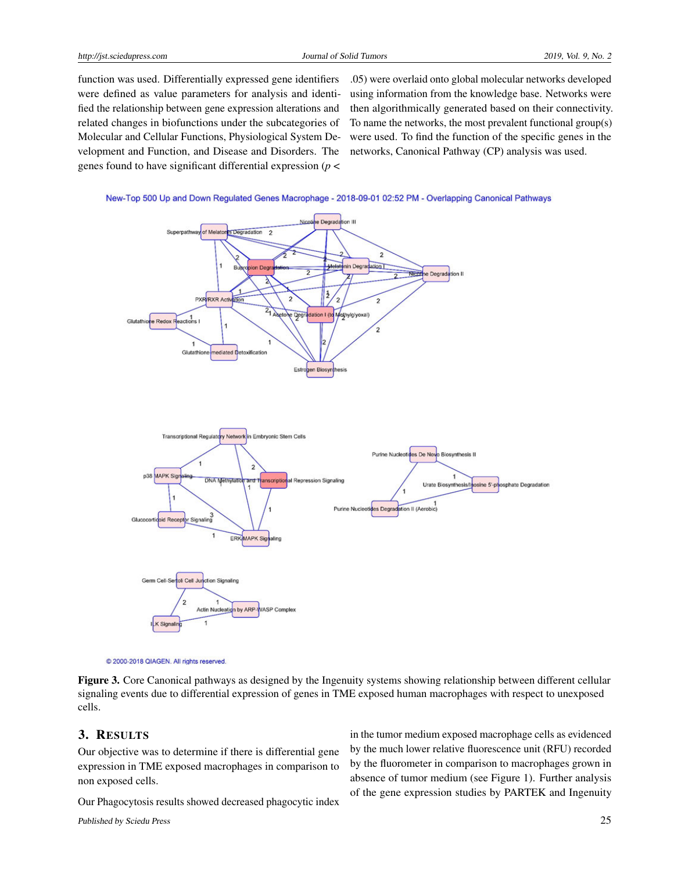function was used. Differentially expressed gene identifiers were defined as value parameters for analysis and identified the relationship between gene expression alterations and related changes in biofunctions under the subcategories of Molecular and Cellular Functions, Physiological System Development and Function, and Disease and Disorders. The genes found to have significant differential expression (*p* <

.05) were overlaid onto global molecular networks developed using information from the knowledge base. Networks were then algorithmically generated based on their connectivity. To name the networks, the most prevalent functional group(s) were used. To find the function of the specific genes in the networks, Canonical Pathway (CP) analysis was used.





<sup>@ 2000-2018</sup> QIAGEN. All rights reserved

Figure 3. Core Canonical pathways as designed by the Ingenuity systems showing relationship between different cellular signaling events due to differential expression of genes in TME exposed human macrophages with respect to unexposed cells.

#### 3. RESULTS

Our objective was to determine if there is differential gene expression in TME exposed macrophages in comparison to non exposed cells.

Our Phagocytosis results showed decreased phagocytic index

Published by Sciedu Press 25

in the tumor medium exposed macrophage cells as evidenced by the much lower relative fluorescence unit (RFU) recorded by the fluorometer in comparison to macrophages grown in absence of tumor medium (see Figure 1). Further analysis of the gene expression studies by PARTEK and Ingenuity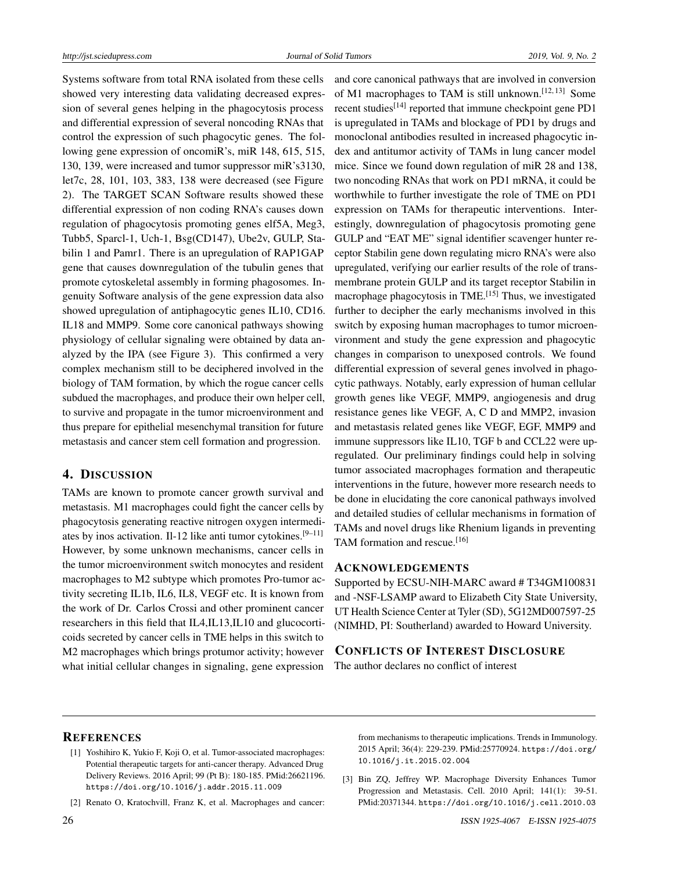Systems software from total RNA isolated from these cells showed very interesting data validating decreased expression of several genes helping in the phagocytosis process and differential expression of several noncoding RNAs that control the expression of such phagocytic genes. The following gene expression of oncomiR's, miR 148, 615, 515, 130, 139, were increased and tumor suppressor miR's3130, let7c, 28, 101, 103, 383, 138 were decreased (see Figure 2). The TARGET SCAN Software results showed these differential expression of non coding RNA's causes down regulation of phagocytosis promoting genes elf5A, Meg3, Tubb5, Sparcl-1, Uch-1, Bsg(CD147), Ube2v, GULP, Stabilin 1 and Pamr1. There is an upregulation of RAP1GAP gene that causes downregulation of the tubulin genes that promote cytoskeletal assembly in forming phagosomes. Ingenuity Software analysis of the gene expression data also showed upregulation of antiphagocytic genes IL10, CD16. IL18 and MMP9. Some core canonical pathways showing physiology of cellular signaling were obtained by data analyzed by the IPA (see Figure 3). This confirmed a very complex mechanism still to be deciphered involved in the biology of TAM formation, by which the rogue cancer cells subdued the macrophages, and produce their own helper cell, to survive and propagate in the tumor microenvironment and thus prepare for epithelial mesenchymal transition for future metastasis and cancer stem cell formation and progression.

# 4. DISCUSSION

TAMs are known to promote cancer growth survival and metastasis. M1 macrophages could fight the cancer cells by phagocytosis generating reactive nitrogen oxygen intermedi-ates by inos activation. Il-12 like anti tumor cytokines.<sup>[\[9](#page-5-3)[–11\]](#page-5-4)</sup> However, by some unknown mechanisms, cancer cells in the tumor microenvironment switch monocytes and resident macrophages to M2 subtype which promotes Pro-tumor activity secreting IL1b, IL6, IL8, VEGF etc. It is known from the work of Dr. Carlos Crossi and other prominent cancer researchers in this field that IL4,IL13,IL10 and glucocorticoids secreted by cancer cells in TME helps in this switch to M2 macrophages which brings protumor activity; however what initial cellular changes in signaling, gene expression

and core canonical pathways that are involved in conversion of M1 macrophages to TAM is still unknown.<sup>[\[12,](#page-5-5) [13\]](#page-5-6)</sup> Some recent studies<sup>[\[14\]](#page-5-7)</sup> reported that immune checkpoint gene PD1 is upregulated in TAMs and blockage of PD1 by drugs and monoclonal antibodies resulted in increased phagocytic index and antitumor activity of TAMs in lung cancer model mice. Since we found down regulation of miR 28 and 138, two noncoding RNAs that work on PD1 mRNA, it could be worthwhile to further investigate the role of TME on PD1 expression on TAMs for therapeutic interventions. Interestingly, downregulation of phagocytosis promoting gene GULP and "EAT ME" signal identifier scavenger hunter receptor Stabilin gene down regulating micro RNA's were also upregulated, verifying our earlier results of the role of transmembrane protein GULP and its target receptor Stabilin in macrophage phagocytosis in TME.<sup>[\[15\]](#page-5-8)</sup> Thus, we investigated further to decipher the early mechanisms involved in this switch by exposing human macrophages to tumor microenvironment and study the gene expression and phagocytic changes in comparison to unexposed controls. We found differential expression of several genes involved in phagocytic pathways. Notably, early expression of human cellular growth genes like VEGF, MMP9, angiogenesis and drug resistance genes like VEGF, A, C D and MMP2, invasion and metastasis related genes like VEGF, EGF, MMP9 and immune suppressors like IL10, TGF b and CCL22 were upregulated. Our preliminary findings could help in solving tumor associated macrophages formation and therapeutic interventions in the future, however more research needs to be done in elucidating the core canonical pathways involved and detailed studies of cellular mechanisms in formation of TAMs and novel drugs like Rhenium ligands in preventing TAM formation and rescue.<sup>[\[16\]](#page-5-9)</sup>

#### ACKNOWLEDGEMENTS

Supported by ECSU-NIH-MARC award # T34GM100831 and -NSF-LSAMP award to Elizabeth City State University, UT Health Science Center at Tyler (SD), 5G12MD007597-25 (NIMHD, PI: Southerland) awarded to Howard University.

# CONFLICTS OF INTEREST DISCLOSURE

The author declares no conflict of interest

#### **REFERENCES**

- <span id="page-4-0"></span>[1] Yoshihiro K, Yukio F, Koji O, et al. Tumor-associated macrophages: Potential therapeutic targets for anti-cancer therapy. Advanced Drug Delivery Reviews. 2016 April; 99 (Pt B): 180-185. PMid:26621196. <https://doi.org/10.1016/j.addr.2015.11.009>
- <span id="page-4-1"></span>[2] Renato O, Kratochvill, Franz K, et al. Macrophages and cancer:

from mechanisms to therapeutic implications. Trends in Immunology. 2015 April; 36(4): 229-239. PMid:25770924. [https://doi.org/](https://doi.org/10.1016/j.it.2015.02.004) [10.1016/j.it.2015.02.004](https://doi.org/10.1016/j.it.2015.02.004)

<span id="page-4-2"></span>[3] Bin ZQ, Jeffrey WP. Macrophage Diversity Enhances Tumor Progression and Metastasis. Cell. 2010 April; 141(1): 39-51. PMid:20371344. [https://doi.org/10.1016/j.cell.2010.03](https://doi.org/10.1016/j.cell.2010.03.014)